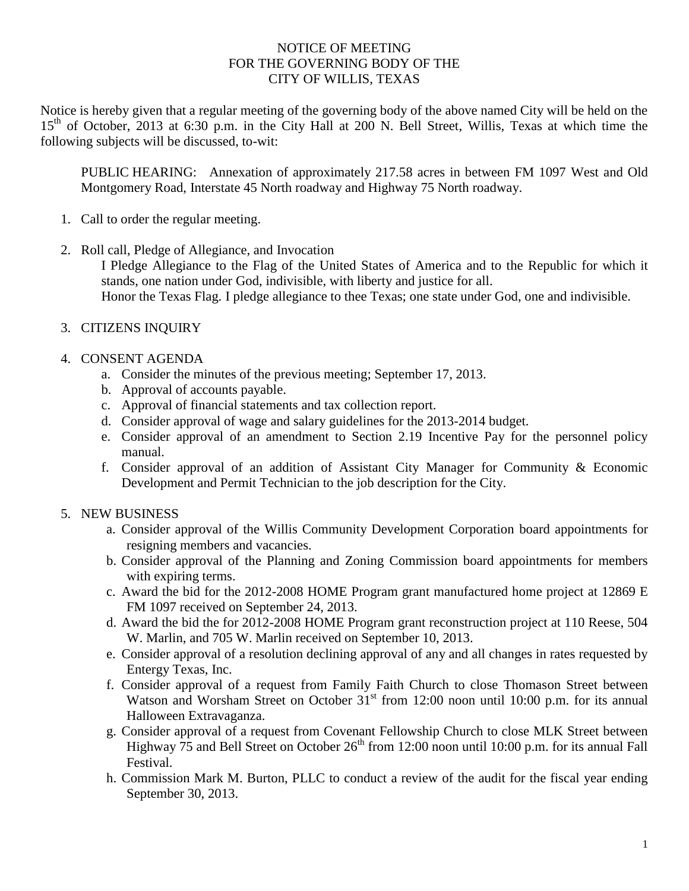### NOTICE OF MEETING FOR THE GOVERNING BODY OF THE CITY OF WILLIS, TEXAS

Notice is hereby given that a regular meeting of the governing body of the above named City will be held on the 15<sup>th</sup> of October, 2013 at 6:30 p.m. in the City Hall at 200 N. Bell Street, Willis, Texas at which time the following subjects will be discussed, to-wit:

PUBLIC HEARING: Annexation of approximately 217.58 acres in between FM 1097 West and Old Montgomery Road, Interstate 45 North roadway and Highway 75 North roadway.

- 1. Call to order the regular meeting.
- 2. Roll call, Pledge of Allegiance, and Invocation

I Pledge Allegiance to the Flag of the United States of America and to the Republic for which it stands, one nation under God, indivisible, with liberty and justice for all. Honor the Texas Flag. I pledge allegiance to thee Texas; one state under God, one and indivisible.

- 3. CITIZENS INQUIRY
- 4. CONSENT AGENDA
	- a. Consider the minutes of the previous meeting; September 17, 2013.
	- b. Approval of accounts payable.
	- c. Approval of financial statements and tax collection report.
	- d. Consider approval of wage and salary guidelines for the 2013-2014 budget.
	- e. Consider approval of an amendment to Section 2.19 Incentive Pay for the personnel policy manual.
	- f. Consider approval of an addition of Assistant City Manager for Community & Economic Development and Permit Technician to the job description for the City.

## 5. NEW BUSINESS

- a. Consider approval of the Willis Community Development Corporation board appointments for resigning members and vacancies.
- b. Consider approval of the Planning and Zoning Commission board appointments for members with expiring terms.
- c. Award the bid for the 2012-2008 HOME Program grant manufactured home project at 12869 E FM 1097 received on September 24, 2013.
- d. Award the bid the for 2012-2008 HOME Program grant reconstruction project at 110 Reese, 504 W. Marlin, and 705 W. Marlin received on September 10, 2013.
- e. Consider approval of a resolution declining approval of any and all changes in rates requested by Entergy Texas, Inc.
- f. Consider approval of a request from Family Faith Church to close Thomason Street between Watson and Worsham Street on October  $31<sup>st</sup>$  from 12:00 noon until 10:00 p.m. for its annual Halloween Extravaganza.
- g. Consider approval of a request from Covenant Fellowship Church to close MLK Street between Highway  $\frac{1}{15}$  and Bell Street on October 26<sup>th</sup> from 12:00 noon until 10:00 p.m. for its annual Fall Festival.
- h. Commission Mark M. Burton, PLLC to conduct a review of the audit for the fiscal year ending September 30, 2013.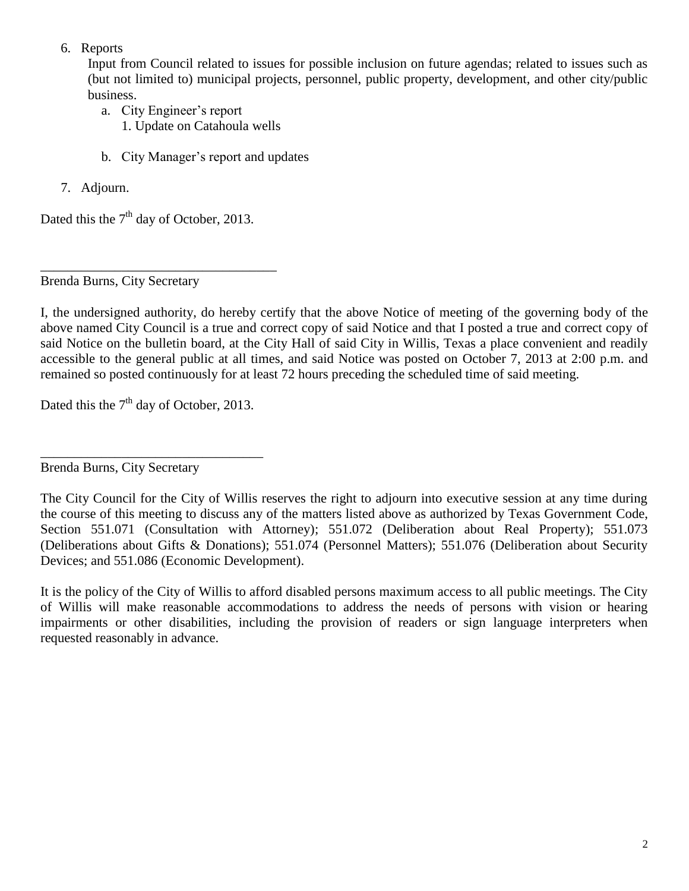6. Reports

Input from Council related to issues for possible inclusion on future agendas; related to issues such as (but not limited to) municipal projects, personnel, public property, development, and other city/public business.

- a. City Engineer's report 1. Update on Catahoula wells
- b. City Manager's report and updates
- 7. Adjourn.

Dated this the  $7<sup>th</sup>$  day of October, 2013.

\_\_\_\_\_\_\_\_\_\_\_\_\_\_\_\_\_\_\_\_\_\_\_\_\_\_\_\_\_\_\_\_\_\_\_

Brenda Burns, City Secretary

I, the undersigned authority, do hereby certify that the above Notice of meeting of the governing body of the above named City Council is a true and correct copy of said Notice and that I posted a true and correct copy of said Notice on the bulletin board, at the City Hall of said City in Willis, Texas a place convenient and readily accessible to the general public at all times, and said Notice was posted on October 7, 2013 at 2:00 p.m. and remained so posted continuously for at least 72 hours preceding the scheduled time of said meeting.

Dated this the  $7<sup>th</sup>$  day of October, 2013.

\_\_\_\_\_\_\_\_\_\_\_\_\_\_\_\_\_\_\_\_\_\_\_\_\_\_\_\_\_\_\_\_\_ Brenda Burns, City Secretary

It is the policy of the City of Willis to afford disabled persons maximum access to all public meetings. The City of Willis will make reasonable accommodations to address the needs of persons with vision or hearing impairments or other disabilities, including the provision of readers or sign language interpreters when requested reasonably in advance.

The City Council for the City of Willis reserves the right to adjourn into executive session at any time during the course of this meeting to discuss any of the matters listed above as authorized by Texas Government Code, Section 551.071 (Consultation with Attorney); 551.072 (Deliberation about Real Property); 551.073 (Deliberations about Gifts & Donations); 551.074 (Personnel Matters); 551.076 (Deliberation about Security Devices; and 551.086 (Economic Development).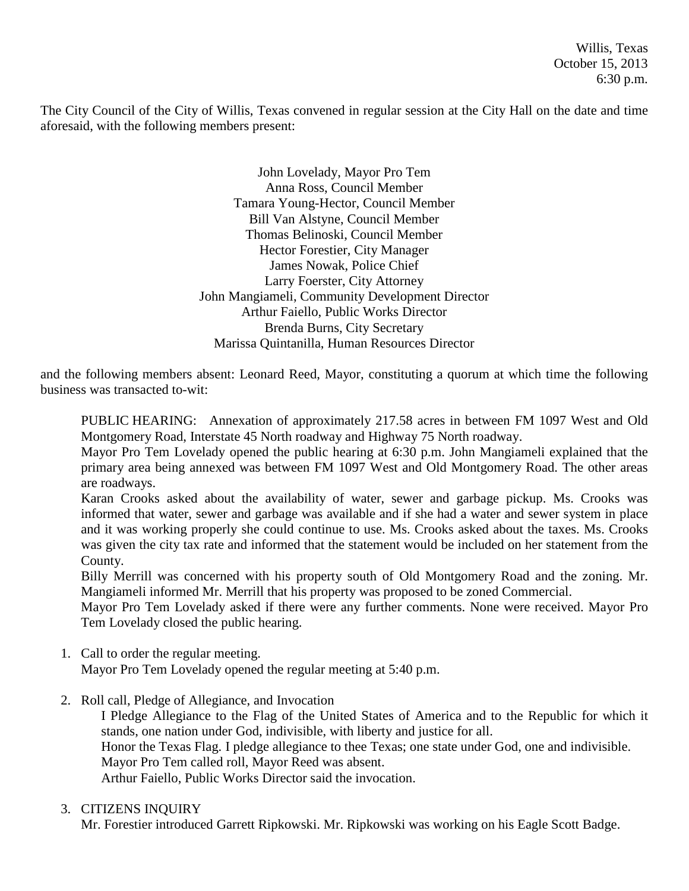Willis, Texas October 15, 2013 6:30 p.m.

The City Council of the City of Willis, Texas convened in regular session at the City Hall on the date and time aforesaid, with the following members present:

> John Lovelady, Mayor Pro Tem Anna Ross, Council Member Tamara Young-Hector, Council Member Bill Van Alstyne, Council Member Thomas Belinoski, Council Member Hector Forestier, City Manager James Nowak, Police Chief Larry Foerster, City Attorney John Mangiameli, Community Development Director Arthur Faiello, Public Works Director Brenda Burns, City Secretary Marissa Quintanilla, Human Resources Director

and the following members absent: Leonard Reed, Mayor, constituting a quorum at which time the following business was transacted to-wit:

PUBLIC HEARING: Annexation of approximately 217.58 acres in between FM 1097 West and Old Montgomery Road, Interstate 45 North roadway and Highway 75 North roadway.

Mayor Pro Tem Lovelady opened the public hearing at 6:30 p.m. John Mangiameli explained that the primary area being annexed was between FM 1097 West and Old Montgomery Road. The other areas are roadways.

Karan Crooks asked about the availability of water, sewer and garbage pickup. Ms. Crooks was informed that water, sewer and garbage was available and if she had a water and sewer system in place and it was working properly she could continue to use. Ms. Crooks asked about the taxes. Ms. Crooks was given the city tax rate and informed that the statement would be included on her statement from the County.

Billy Merrill was concerned with his property south of Old Montgomery Road and the zoning. Mr. Mangiameli informed Mr. Merrill that his property was proposed to be zoned Commercial.

Mayor Pro Tem Lovelady asked if there were any further comments. None were received. Mayor Pro Tem Lovelady closed the public hearing.

- 1. Call to order the regular meeting. Mayor Pro Tem Lovelady opened the regular meeting at 5:40 p.m.
- 2. Roll call, Pledge of Allegiance, and Invocation

I Pledge Allegiance to the Flag of the United States of America and to the Republic for which it stands, one nation under God, indivisible, with liberty and justice for all. Honor the Texas Flag. I pledge allegiance to thee Texas; one state under God, one and indivisible. Mayor Pro Tem called roll, Mayor Reed was absent. Arthur Faiello, Public Works Director said the invocation.

#### 3. CITIZENS INQUIRY

Mr. Forestier introduced Garrett Ripkowski. Mr. Ripkowski was working on his Eagle Scott Badge.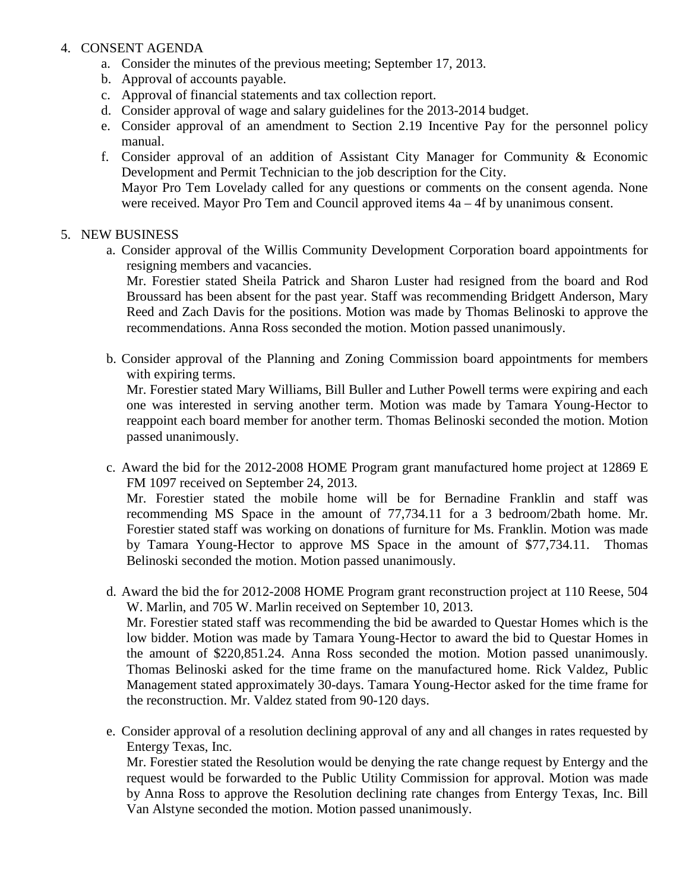#### 4. CONSENT AGENDA

- a. Consider the minutes of the previous meeting; September 17, 2013.
- b. Approval of accounts payable.
- c. Approval of financial statements and tax collection report.
- d. Consider approval of wage and salary guidelines for the 2013-2014 budget.
- e. Consider approval of an amendment to Section 2.19 Incentive Pay for the personnel policy manual.
- f. Consider approval of an addition of Assistant City Manager for Community & Economic Development and Permit Technician to the job description for the City. Mayor Pro Tem Lovelady called for any questions or comments on the consent agenda. None were received. Mayor Pro Tem and Council approved items 4a – 4f by unanimous consent.

#### 5. NEW BUSINESS

a. Consider approval of the Willis Community Development Corporation board appointments for resigning members and vacancies.

Mr. Forestier stated Sheila Patrick and Sharon Luster had resigned from the board and Rod Broussard has been absent for the past year. Staff was recommending Bridgett Anderson, Mary Reed and Zach Davis for the positions. Motion was made by Thomas Belinoski to approve the recommendations. Anna Ross seconded the motion. Motion passed unanimously.

b. Consider approval of the Planning and Zoning Commission board appointments for members with expiring terms.

Mr. Forestier stated Mary Williams, Bill Buller and Luther Powell terms were expiring and each one was interested in serving another term. Motion was made by Tamara Young-Hector to reappoint each board member for another term. Thomas Belinoski seconded the motion. Motion passed unanimously.

c. Award the bid for the 2012-2008 HOME Program grant manufactured home project at 12869 E FM 1097 received on September 24, 2013.

Mr. Forestier stated the mobile home will be for Bernadine Franklin and staff was recommending MS Space in the amount of 77,734.11 for a 3 bedroom/2bath home. Mr. Forestier stated staff was working on donations of furniture for Ms. Franklin. Motion was made by Tamara Young-Hector to approve MS Space in the amount of \$77,734.11. Thomas Belinoski seconded the motion. Motion passed unanimously.

- d. Award the bid the for 2012-2008 HOME Program grant reconstruction project at 110 Reese, 504 W. Marlin, and 705 W. Marlin received on September 10, 2013. Mr. Forestier stated staff was recommending the bid be awarded to Questar Homes which is the low bidder. Motion was made by Tamara Young-Hector to award the bid to Questar Homes in the amount of \$220,851.24. Anna Ross seconded the motion. Motion passed unanimously. Thomas Belinoski asked for the time frame on the manufactured home. Rick Valdez, Public Management stated approximately 30-days. Tamara Young-Hector asked for the time frame for the reconstruction. Mr. Valdez stated from 90-120 days.
- e. Consider approval of a resolution declining approval of any and all changes in rates requested by Entergy Texas, Inc.

Mr. Forestier stated the Resolution would be denying the rate change request by Entergy and the request would be forwarded to the Public Utility Commission for approval. Motion was made by Anna Ross to approve the Resolution declining rate changes from Entergy Texas, Inc. Bill Van Alstyne seconded the motion. Motion passed unanimously.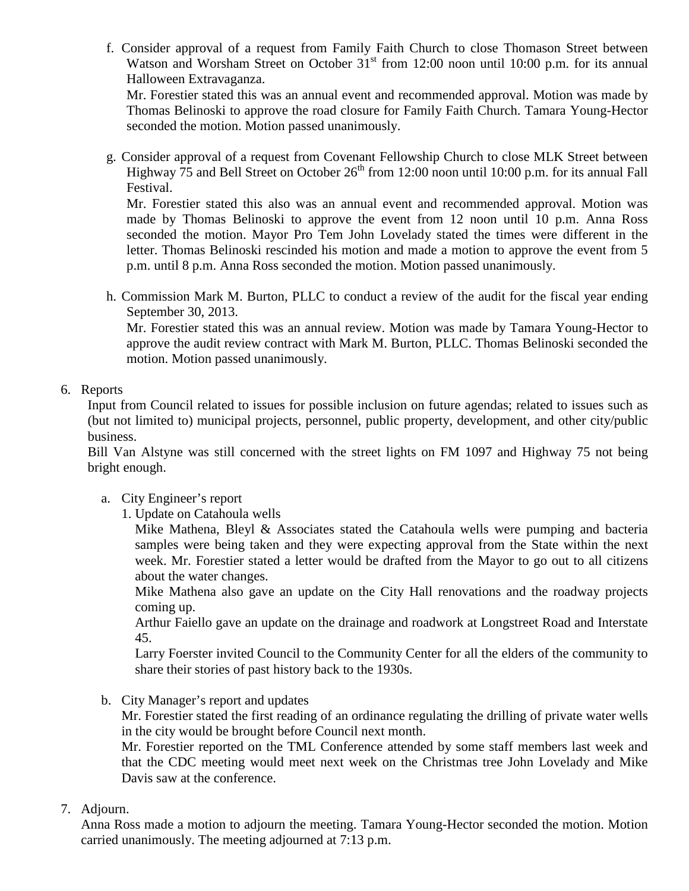f. Consider approval of a request from Family Faith Church to close Thomason Street between Watson and Worsham Street on October 31<sup>st</sup> from 12:00 noon until 10:00 p.m. for its annual Halloween Extravaganza.

Mr. Forestier stated this was an annual event and recommended approval. Motion was made by Thomas Belinoski to approve the road closure for Family Faith Church. Tamara Young-Hector seconded the motion. Motion passed unanimously.

g. Consider approval of a request from Covenant Fellowship Church to close MLK Street between Highway  $\overline{75}$  and Bell Street on October 26<sup>th</sup> from 12:00 noon until 10:00 p.m. for its annual Fall Festival.

Mr. Forestier stated this also was an annual event and recommended approval. Motion was made by Thomas Belinoski to approve the event from 12 noon until 10 p.m. Anna Ross seconded the motion. Mayor Pro Tem John Lovelady stated the times were different in the letter. Thomas Belinoski rescinded his motion and made a motion to approve the event from 5 p.m. until 8 p.m. Anna Ross seconded the motion. Motion passed unanimously.

h. Commission Mark M. Burton, PLLC to conduct a review of the audit for the fiscal year ending September 30, 2013.

Mr. Forestier stated this was an annual review. Motion was made by Tamara Young-Hector to approve the audit review contract with Mark M. Burton, PLLC. Thomas Belinoski seconded the motion. Motion passed unanimously.

# 6. Reports

Input from Council related to issues for possible inclusion on future agendas; related to issues such as (but not limited to) municipal projects, personnel, public property, development, and other city/public business.

Bill Van Alstyne was still concerned with the street lights on FM 1097 and Highway 75 not being bright enough.

- a. City Engineer's report
	- 1. Update on Catahoula wells

Mike Mathena, Bleyl & Associates stated the Catahoula wells were pumping and bacteria samples were being taken and they were expecting approval from the State within the next week. Mr. Forestier stated a letter would be drafted from the Mayor to go out to all citizens about the water changes.

Mike Mathena also gave an update on the City Hall renovations and the roadway projects coming up.

Arthur Faiello gave an update on the drainage and roadwork at Longstreet Road and Interstate 45.

Larry Foerster invited Council to the Community Center for all the elders of the community to share their stories of past history back to the 1930s.

b. City Manager's report and updates

Mr. Forestier stated the first reading of an ordinance regulating the drilling of private water wells in the city would be brought before Council next month.

Mr. Forestier reported on the TML Conference attended by some staff members last week and that the CDC meeting would meet next week on the Christmas tree John Lovelady and Mike Davis saw at the conference.

7. Adjourn.

Anna Ross made a motion to adjourn the meeting. Tamara Young-Hector seconded the motion. Motion carried unanimously. The meeting adjourned at 7:13 p.m.